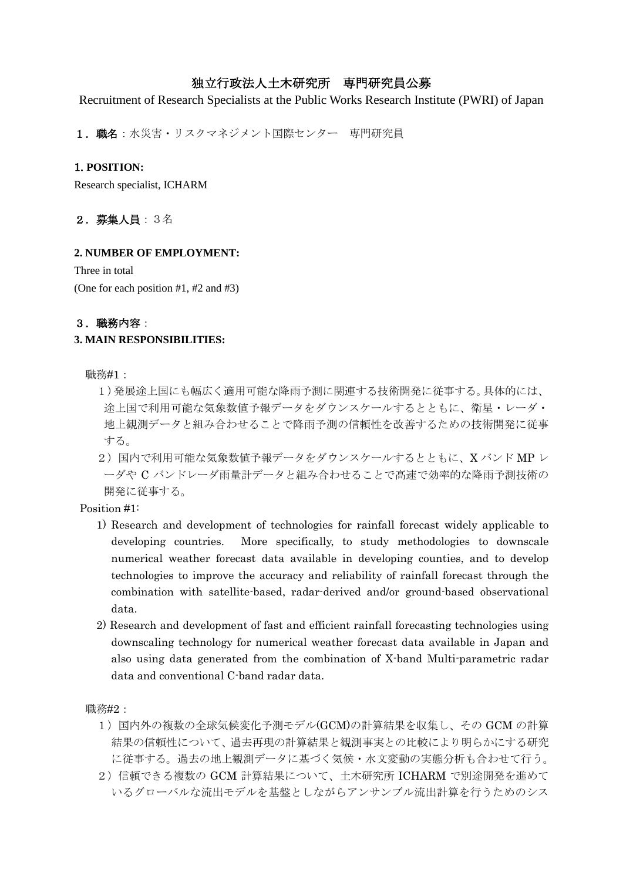# 独立行政法人土木研究所 専門研究員公募

Recruitment of Research Specialists at the Public Works Research Institute (PWRI) of Japan

1. 職名:水災害・リスクマネジメント国際センター 専門研究員

# 1. **POSITION:**

Research specialist, ICHARM

# 2.募集人員:3名

## **2. NUMBER OF EMPLOYMENT:**

Three in total (One for each position #1, #2 and #3)

# 3.職務内容:

# **3. MAIN RESPONSIBILITIES:**

職務#1:

- 1)発展途上国にも幅広く適用可能な降雨予測に関連する技術開発に従事する。具体的には、 途上国で利用可能な気象数値予報データをダウンスケールするとともに、衛星・レーダ・ 地上観測データと組み合わせることで降雨予測の信頼性を改善するための技術開発に従事 する。
- 2) 国内で利用可能な気象数値予報データをダウンスケールするとともに、X バンド MP レ ーダや C バンドレーダ雨量計データと組み合わせることで高速で効率的な降雨予測技術の 開発に従事する。

Position #1:

- 1) Research and development of technologies for rainfall forecast widely applicable to developing countries. More specifically, to study methodologies to downscale numerical weather forecast data available in developing counties, and to develop technologies to improve the accuracy and reliability of rainfall forecast through the combination with satellite-based, radar-derived and/or ground-based observational data.
- 2) Research and development of fast and efficient rainfall forecasting technologies using downscaling technology for numerical weather forecast data available in Japan and also using data generated from the combination of X-band Multi-parametric radar data and conventional C-band radar data.

職務#2:

- 1)国内外の複数の全球気候変化予測モデル(GCM)の計算結果を収集し、その GCM の計算 結果の信頼性について、過去再現の計算結果と観測事実との比較により明らかにする研究 に従事する。過去の地上観測データに基づく気候・水文変動の実態分析も合わせて行う。
- 2)信頼できる複数の GCM 計算結果について、土木研究所 ICHARM で別途開発を進めて いるグローバルな流出モデルを基盤としながらアンサンブル流出計算を行うためのシス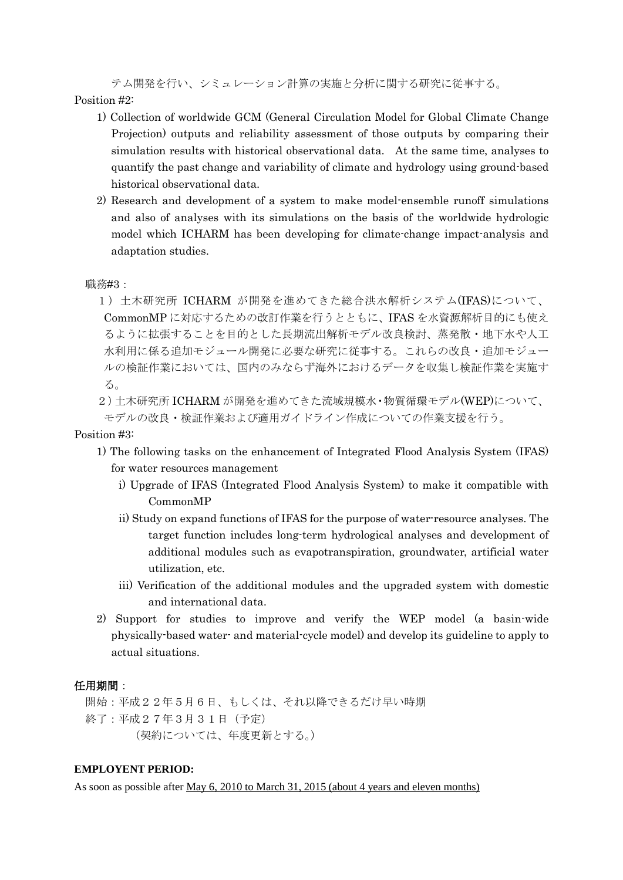テム開発を行い、シミュレーション計算の実施と分析に関する研究に従事する。 Position #2:

- 1) Collection of worldwide GCM (General Circulation Model for Global Climate Change Projection) outputs and reliability assessment of those outputs by comparing their simulation results with historical observational data. At the same time, analyses to quantify the past change and variability of climate and hydrology using ground-based historical observational data.
- 2) Research and development of a system to make model-ensemble runoff simulations and also of analyses with its simulations on the basis of the worldwide hydrologic model which ICHARM has been developing for climate-change impact-analysis and adaptation studies.

職務#3:

1) 土木研究所 ICHARM が開発を進めてきた総合洪水解析システム(IFAS)について、 CommonMP に対応するための改訂作業を行うとともに、IFAS を水資源解析目的にも使え るように拡張することを目的とした長期流出解析モデル改良検討、蒸発散・地下水や人工 水利用に係る追加モジュール開発に必要な研究に従事する。これらの改良・追加モジュー ルの検証作業においては、国内のみならず海外におけるデータを収集し検証作業を実施す る。

2)土木研究所 ICHARM が開発を進めてきた流域規模水・物質循環モデル(WEP)について、 モデルの改良・検証作業および適用ガイドライン作成についての作業支援を行う。

### Position #3:

- 1) The following tasks on the enhancement of Integrated Flood Analysis System (IFAS) for water resources management
	- i) Upgrade of IFAS (Integrated Flood Analysis System) to make it compatible with CommonMP
	- ii) Study on expand functions of IFAS for the purpose of water-resource analyses. The target function includes long-term hydrological analyses and development of additional modules such as evapotranspiration, groundwater, artificial water utilization, etc.
	- iii) Verification of the additional modules and the upgraded system with domestic and international data.
- 2) Support for studies to improve and verify the WEP model (a basin-wide physically-based water- and material-cycle model) and develop its guideline to apply to actual situations.

## 任用期間:

開始:平成22年5月6日、もしくは、それ以降できるだけ早い時期 終了:平成27年3月31日(予定) (契約については、年度更新とする。)

### **EMPLOYENT PERIOD:**

As soon as possible after May 6, 2010 to March 31, 2015 (about 4 years and eleven months)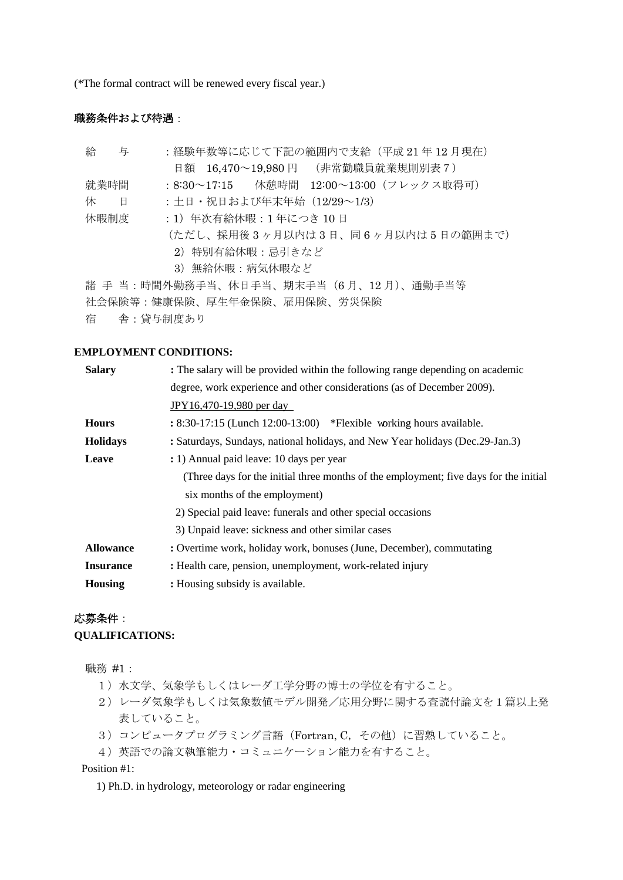(\*The formal contract will be renewed every fiscal year.)

# 職務条件および待遇:

| 給 与                                   | :経験年数等に応じて下記の範囲内で支給(平成 21 年 12 月現在)      |  |
|---------------------------------------|------------------------------------------|--|
|                                       | 日額 16,470~19,980円 (非常勤職員就業規則別表7)         |  |
| 就業時間                                  | : 8:30~17:15 休憩時間 12:00~13:00 (フレックス取得可) |  |
| 休<br>- 日                              | : 土日・祝日および年末年始(12/29~1/3)                |  |
| 休暇制度                                  | :1)年次有給休暇:1 年につき 10 日                    |  |
|                                       | (ただし、採用後3ヶ月以内は3日、同6ヶ月以内は5日の範囲まで)         |  |
|                                       | 2)特別有給休暇:忌引きなど                           |  |
|                                       | 3) 無給休暇:病気休暇など                           |  |
| 諸 手 当:時間外勤務手当、休日手当、期末手当(6月、12月)、通勤手当等 |                                          |  |
| 社会保険等:健康保険、厚生年金保険、雇用保険、労災保険           |                                          |  |
|                                       | 宿 舎 : 貸与制度あり                             |  |

#### **EMPLOYMENT CONDITIONS:**

| <b>Salary</b>    | : The salary will be provided within the following range depending on academic        |
|------------------|---------------------------------------------------------------------------------------|
|                  | degree, work experience and other considerations (as of December 2009).               |
|                  | JPY16,470-19,980 per day                                                              |
| <b>Hours</b>     | $: 8:30-17:15$ (Lunch 12:00-13:00) *Flexible working hours available.                 |
| <b>Holidays</b>  | : Saturdays, Sundays, national holidays, and New Year holidays (Dec. 29-Jan. 3)       |
| Leave            | : 1) Annual paid leave: 10 days per year                                              |
|                  | (Three days for the initial three months of the employment; five days for the initial |
|                  | six months of the employment)                                                         |
|                  | 2) Special paid leave: funerals and other special occasions                           |
|                  | 3) Unpaid leave: sickness and other similar cases                                     |
| <b>Allowance</b> | : Overtime work, holiday work, bonuses (June, December), commutating                  |
| <b>Insurance</b> | : Health care, pension, unemployment, work-related injury                             |
| <b>Housing</b>   | : Housing subsidy is available.                                                       |
|                  |                                                                                       |

# 応募条件: **QUALIFICATIONS:**

職務 #1:

- 1)水文学、気象学もしくはレーダ工学分野の博士の学位を有すること。
- 2)レーダ気象学もしくは気象数値モデル開発/応用分野に関する査読付論文を1篇以上発 表していること。
- 3)コンピュータプログラミング言語(Fortran, C,その他)に習熟していること。
- 4)英語での論文執筆能力・コミュニケーション能力を有すること。

Position #1:

1) Ph.D. in hydrology, meteorology or radar engineering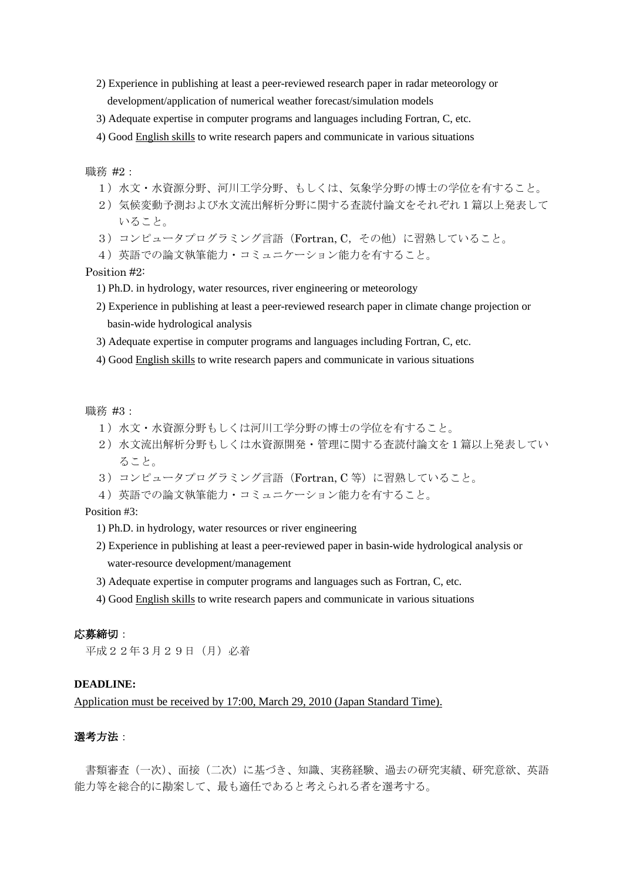- 2) Experience in publishing at least a peer-reviewed research paper in radar meteorology or development/application of numerical weather forecast/simulation models
- 3) Adequate expertise in computer programs and languages including Fortran, C, etc.
- 4) Good English skills to write research papers and communicate in various situations

職務 #2:

- 1)水文・水資源分野、河川工学分野、もしくは、気象学分野の博士の学位を有すること。
- 2)気候変動予測および水文流出解析分野に関する査読付論文をそれぞれ1篇以上発表して いること。
- 3) コンピュータプログラミング言語 (Fortran, C, その他) に習熟していること。
- 4)英語での論文執筆能力・コミュニケーション能力を有すること。

#### Position #2:

- 1) Ph.D. in hydrology, water resources, river engineering or meteorology
- 2) Experience in publishing at least a peer-reviewed research paper in climate change projection or basin-wide hydrological analysis
- 3) Adequate expertise in computer programs and languages including Fortran, C, etc.
- 4) Good English skills to write research papers and communicate in various situations

職務 #3:

- 1)水文・水資源分野もしくは河川工学分野の博士の学位を有すること。
- 2)水文流出解析分野もしくは水資源開発・管理に関する査読付論文を1篇以上発表してい ること。
- 3) コンピュータプログラミング言語 (Fortran, C 等) に習熟していること。
- 4)英語での論文執筆能力・コミュニケーション能力を有すること。

### Position #3:

- 1) Ph.D. in hydrology, water resources or river engineering
- 2) Experience in publishing at least a peer-reviewed paper in basin-wide hydrological analysis or water-resource development/management
- 3) Adequate expertise in computer programs and languages such as Fortran, C, etc.
- 4) Good English skills to write research papers and communicate in various situations

### 応募締切:

平成22年3月29日(月)必着

# **DEADLINE:**

Application must be received by 17:00, March 29, 2010 (Japan Standard Time).

# 選考方法:

書類審査(一次)、面接(二次)に基づき、知識、実務経験、過去の研究実績、研究意欲、英語 能力等を総合的に勘案して、最も適任であると考えられる者を選考する。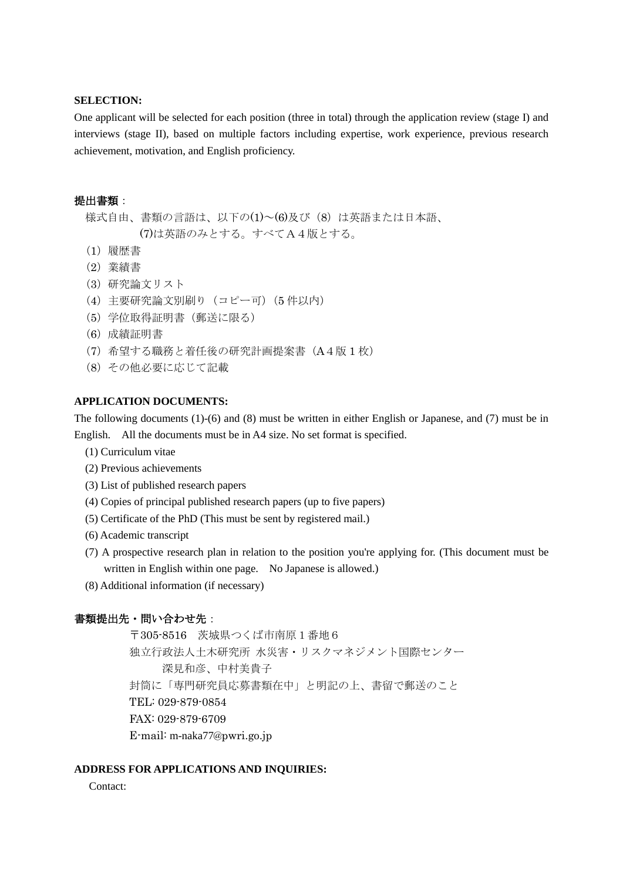### **SELECTION:**

One applicant will be selected for each position (three in total) through the application review (stage I) and interviews (stage II), based on multiple factors including expertise, work experience, previous research achievement, motivation, and English proficiency.

## 提出書類:

- 様式自由、書類の言語は、以下の(1)~(6)及び(8)は英語または日本語、 (7)は英語のみとする。すべてA4版とする。
- (1)履歴書
- (2)業績書
- (3)研究論文リスト
- (4)主要研究論文別刷り(コピー可)(5 件以内)
- (5)学位取得証明書(郵送に限る)
- (6)成績証明書
- (7)希望する職務と着任後の研究計画提案書(A4版 1 枚)
- (8)その他必要に応じて記載

#### **APPLICATION DOCUMENTS:**

The following documents (1)-(6) and (8) must be written in either English or Japanese, and (7) must be in English. All the documents must be in A4 size. No set format is specified.

- (1) Curriculum vitae
- (2) Previous achievements
- (3) List of published research papers
- (4) Copies of principal published research papers (up to five papers)
- (5) Certificate of the PhD (This must be sent by registered mail.)
- (6) Academic transcript
- (7) A prospective research plan in relation to the position you're applying for. (This document must be written in English within one page. No Japanese is allowed.)
- (8) Additional information (if necessary)

### 書類提出先·問い合わせ先:

〒305-8516 茨城県つくば市南原1番地6 独立行政法人土木研究所 水災害・リスクマネジメント国際センター 深見和彦、中村美貴子 封筒に「専門研究員応募書類在中」と明記の上、書留で郵送のこと TEL: 029-879-0854 FAX: 029-879-6709 E-mail: m-naka77@pwri.go.jp

### **ADDRESS FOR APPLICATIONS AND INQUIRIES:**

Contact: